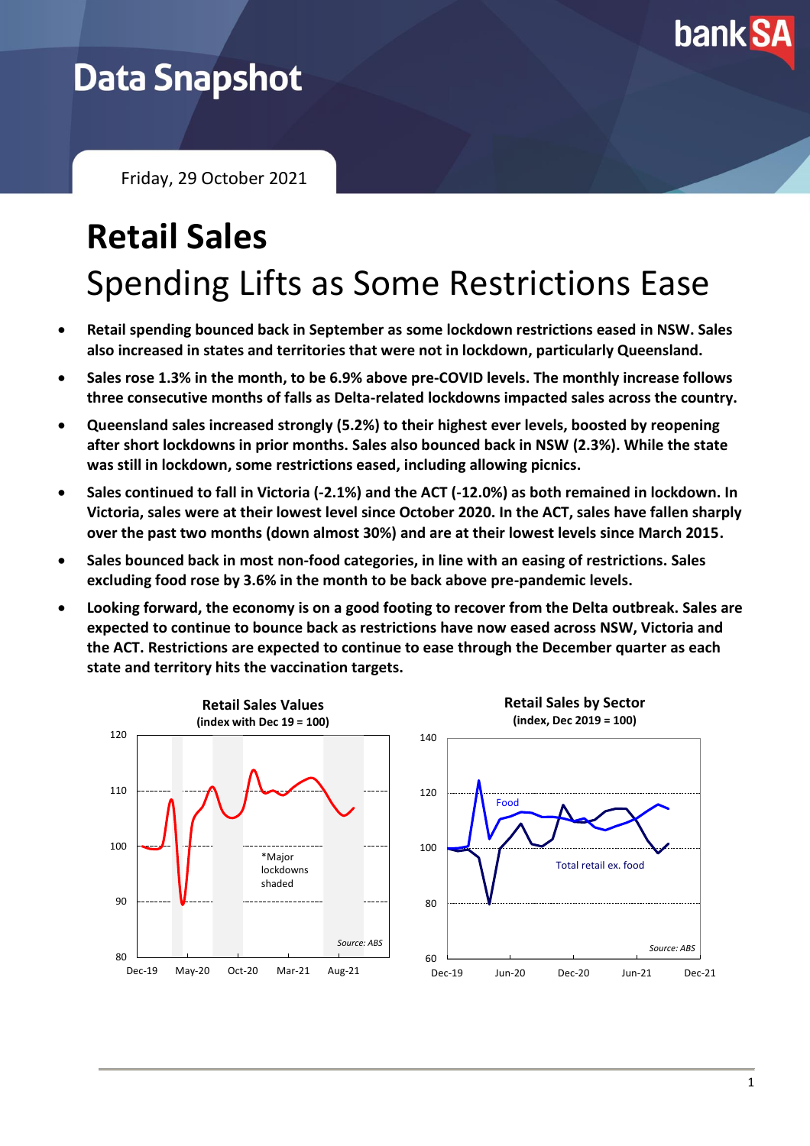

## **Data Snapshot**

Friday, 29 October 2021

## **Retail Sales** Spending Lifts as Some Restrictions Ease

- **Retail spending bounced back in September as some lockdown restrictions eased in NSW. Sales also increased in states and territories that were not in lockdown, particularly Queensland.**
- **Sales rose 1.3% in the month, to be 6.9% above pre-COVID levels. The monthly increase follows three consecutive months of falls as Delta-related lockdowns impacted sales across the country.**
- **Queensland sales increased strongly (5.2%) to their highest ever levels, boosted by reopening after short lockdowns in prior months. Sales also bounced back in NSW (2.3%). While the state was still in lockdown, some restrictions eased, including allowing picnics.**
- **Sales continued to fall in Victoria (-2.1%) and the ACT (-12.0%) as both remained in lockdown. In Victoria, sales were at their lowest level since October 2020. In the ACT, sales have fallen sharply over the past two months (down almost 30%) and are at their lowest levels since March 2015.**
- **Sales bounced back in most non-food categories, in line with an easing of restrictions. Sales excluding food rose by 3.6% in the month to be back above pre-pandemic levels.**
- **Looking forward, the economy is on a good footing to recover from the Delta outbreak. Sales are expected to continue to bounce back as restrictions have now eased across NSW, Victoria and the ACT. Restrictions are expected to continue to ease through the December quarter as each state and territory hits the vaccination targets.**

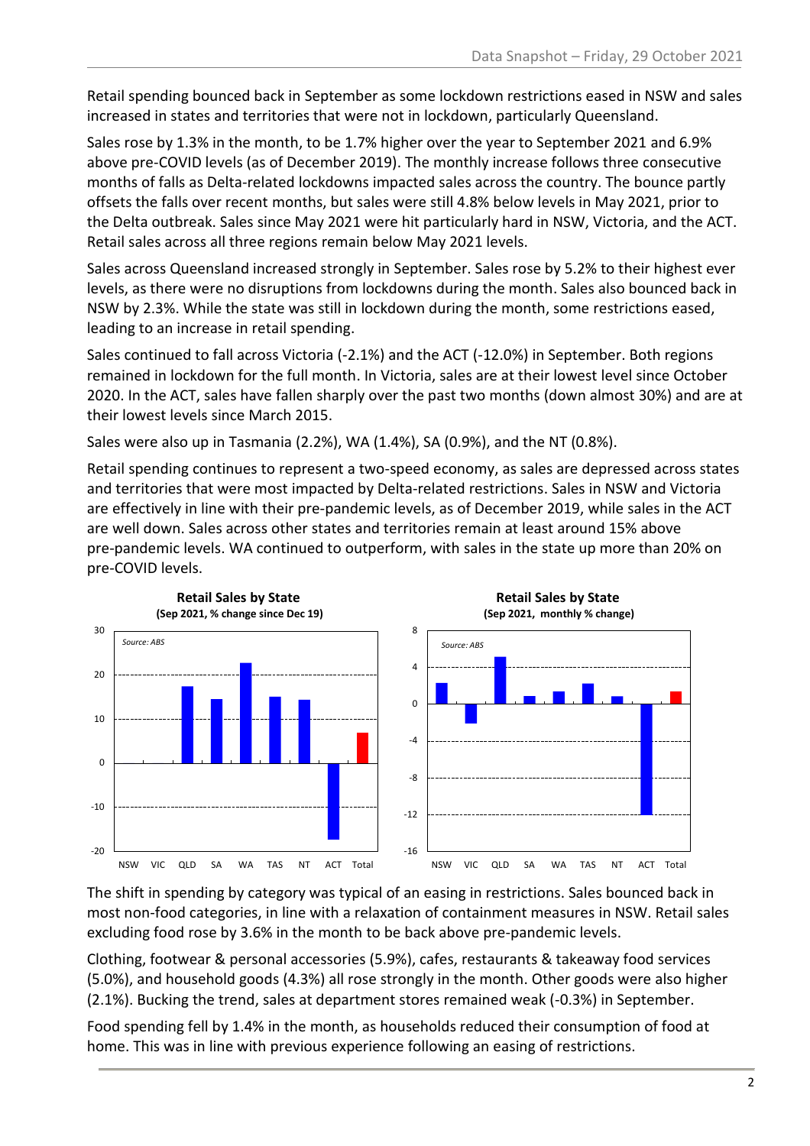Retail spending bounced back in September as some lockdown restrictions eased in NSW and sales increased in states and territories that were not in lockdown, particularly Queensland.

Sales rose by 1.3% in the month, to be 1.7% higher over the year to September 2021 and 6.9% above pre-COVID levels (as of December 2019). The monthly increase follows three consecutive months of falls as Delta-related lockdowns impacted sales across the country. The bounce partly offsets the falls over recent months, but sales were still 4.8% below levels in May 2021, prior to the Delta outbreak. Sales since May 2021 were hit particularly hard in NSW, Victoria, and the ACT. Retail sales across all three regions remain below May 2021 levels.

Sales across Queensland increased strongly in September. Sales rose by 5.2% to their highest ever levels, as there were no disruptions from lockdowns during the month. Sales also bounced back in NSW by 2.3%. While the state was still in lockdown during the month, some restrictions eased, leading to an increase in retail spending.

Sales continued to fall across Victoria (-2.1%) and the ACT (-12.0%) in September. Both regions remained in lockdown for the full month. In Victoria, sales are at their lowest level since October 2020. In the ACT, sales have fallen sharply over the past two months (down almost 30%) and are at their lowest levels since March 2015.

Sales were also up in Tasmania (2.2%), WA (1.4%), SA (0.9%), and the NT (0.8%).

Retail spending continues to represent a two-speed economy, as sales are depressed across states and territories that were most impacted by Delta-related restrictions. Sales in NSW and Victoria are effectively in line with their pre-pandemic levels, as of December 2019, while sales in the ACT are well down. Sales across other states and territories remain at least around 15% above pre-pandemic levels. WA continued to outperform, with sales in the state up more than 20% on pre-COVID levels.



The shift in spending by category was typical of an easing in restrictions. Sales bounced back in most non-food categories, in line with a relaxation of containment measures in NSW. Retail sales excluding food rose by 3.6% in the month to be back above pre-pandemic levels.

Clothing, footwear & personal accessories (5.9%), cafes, restaurants & takeaway food services (5.0%), and household goods (4.3%) all rose strongly in the month. Other goods were also higher (2.1%). Bucking the trend, sales at department stores remained weak (-0.3%) in September.

Food spending fell by 1.4% in the month, as households reduced their consumption of food at home. This was in line with previous experience following an easing of restrictions.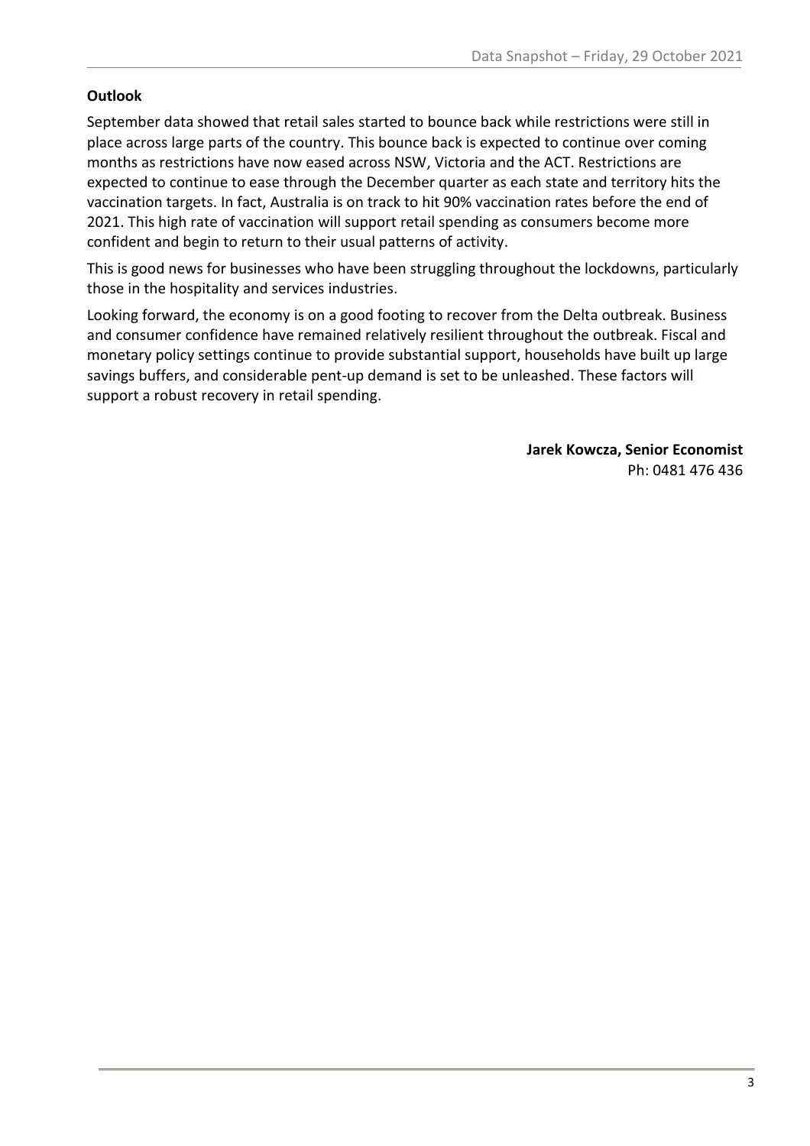## **Outlook**

September data showed that retail sales started to bounce back while restrictions were still in place across large parts of the country. This bounce back is expected to continue over coming months as restrictions have now eased across NSW, Victoria and the ACT. Restrictions are expected to continue to ease through the December quarter as each state and territory hits the vaccination targets. In fact, Australia is on track to hit 90% vaccination rates before the end of 2021. This high rate of vaccination will support retail spending as consumers become more confident and begin to return to their usual patterns of activity.

This is good news for businesses who have been struggling throughout the lockdowns, particularly those in the hospitality and services industries.

Looking forward, the economy is on a good footing to recover from the Delta outbreak. Business and consumer confidence have remained relatively resilient throughout the outbreak. Fiscal and monetary policy settings continue to provide substantial support, households have built up large savings buffers, and considerable pent-up demand is set to be unleashed. These factors will support a robust recovery in retail spending.

> **Jarek Kowcza, Senior Economist** Ph: 0481 476 436